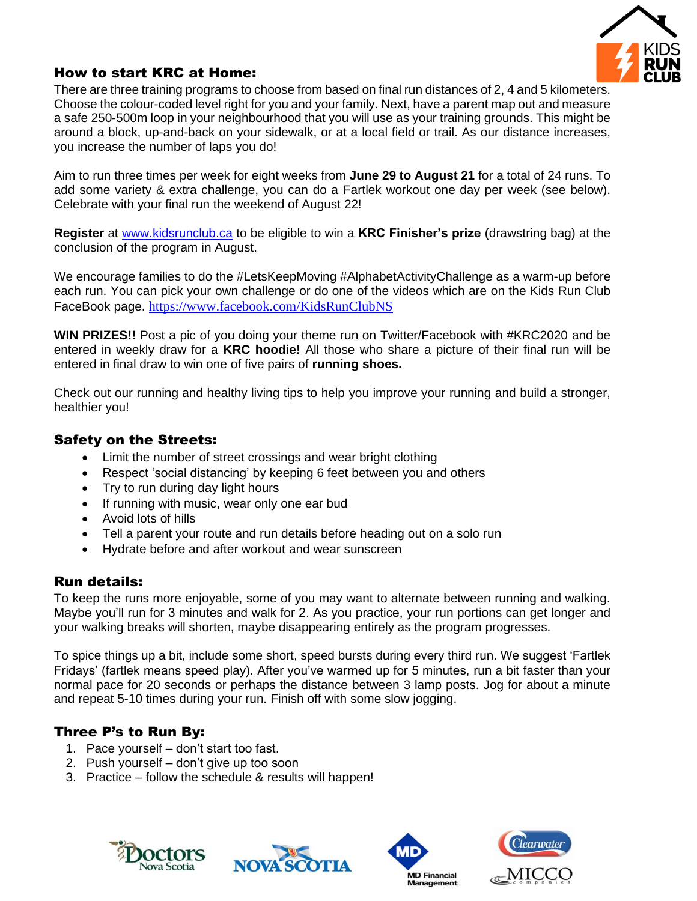

## How to start KRC at Home:

There are three training programs to choose from based on final run distances of 2, 4 and 5 kilometers. Choose the colour-coded level right for you and your family. Next, have a parent map out and measure a safe 250-500m loop in your neighbourhood that you will use as your training grounds. This might be around a block, up-and-back on your sidewalk, or at a local field or trail. As our distance increases, you increase the number of laps you do!

Aim to run three times per week for eight weeks from **June 29 to August 21** for a total of 24 runs. To add some variety & extra challenge, you can do a Fartlek workout one day per week (see below). Celebrate with your final run the weekend of August 22!

**Register** at [www.kidsrunclub.ca](http://www.kidsrunclub.ca/) to be eligible to win a **KRC Finisher's prize** (drawstring bag) at the conclusion of the program in August.

We encourage families to do the #LetsKeepMoving #AlphabetActivityChallenge as a warm-up before each run. You can pick your own challenge or do one of the videos which are on the Kids Run Club FaceBook page. <https://www.facebook.com/KidsRunClubNS>

**WIN PRIZES!!** Post a pic of you doing your theme run on Twitter/Facebook with #KRC2020 and be entered in weekly draw for a **KRC hoodie!** All those who share a picture of their final run will be entered in final draw to win one of five pairs of **running shoes.** 

Check out our running and healthy living tips to help you improve your running and build a stronger, healthier you!

## Safety on the Streets:

- Limit the number of street crossings and wear bright clothing
- Respect 'social distancing' by keeping 6 feet between you and others
- Try to run during day light hours
- If running with music, wear only one ear bud
- Avoid lots of hills
- Tell a parent your route and run details before heading out on a solo run
- Hydrate before and after workout and wear sunscreen

## Run details:

To keep the runs more enjoyable, some of you may want to alternate between running and walking. Maybe you'll run for 3 minutes and walk for 2. As you practice, your run portions can get longer and your walking breaks will shorten, maybe disappearing entirely as the program progresses.

To spice things up a bit, include some short, speed bursts during every third run. We suggest 'Fartlek Fridays' (fartlek means speed play). After you've warmed up for 5 minutes, run a bit faster than your normal pace for 20 seconds or perhaps the distance between 3 lamp posts. Jog for about a minute and repeat 5-10 times during your run. Finish off with some slow jogging.

## Three P's to Run By:

- 1. Pace yourself don't start too fast.
- 2. Push yourself don't give up too soon
- 3. Practice follow the schedule & results will happen!







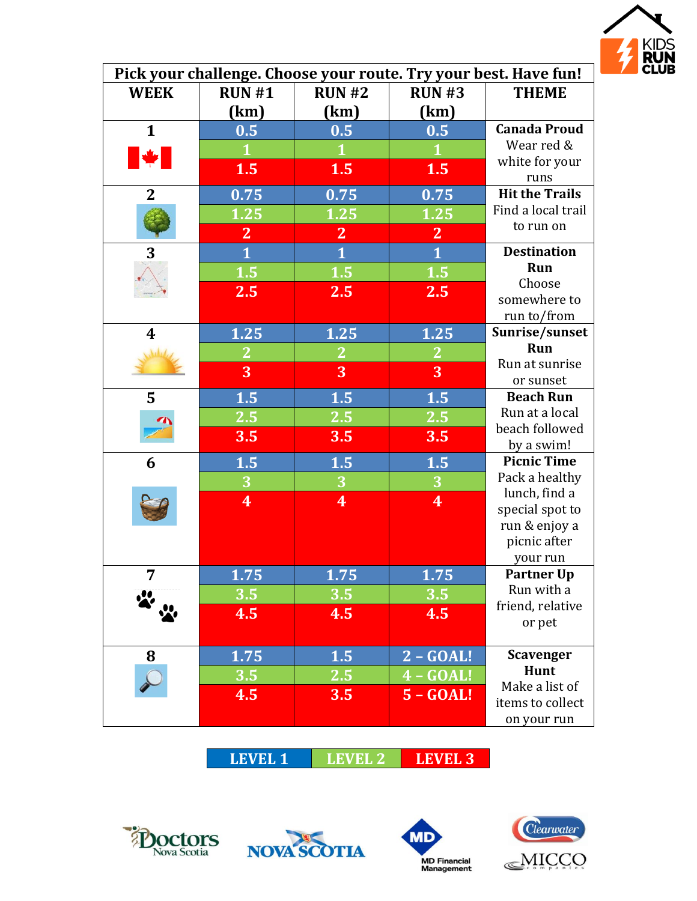

| Pick your challenge. Choose your route. Try your best. Have fun! |                         |                         |                         |                                 |
|------------------------------------------------------------------|-------------------------|-------------------------|-------------------------|---------------------------------|
| <b>WEEK</b>                                                      | RUN#1                   | <b>RUN #2</b>           | <b>RUN #3</b>           | <b>THEME</b>                    |
|                                                                  | (km)                    | (km)                    | (km)                    |                                 |
| $\mathbf{1}$                                                     | 0.5                     | 0.5                     | 0.5                     | <b>Canada Proud</b>             |
|                                                                  | $\mathbf 1$             | 1                       |                         | Wear red &                      |
| <b>A</b>                                                         | 1.5                     | 1.5                     | 1.5                     | white for your<br>runs          |
| $\overline{2}$                                                   | 0.75                    | 0.75                    | 0.75                    | <b>Hit the Trails</b>           |
|                                                                  | 1.25                    | 1.25                    | 1.25                    | Find a local trail              |
|                                                                  | $\mathbf{2}$            | $\mathbf{2}$            | $\mathbf{2}$            | to run on                       |
| 3                                                                | $\overline{\mathbf{1}}$ | $\overline{\mathbf{1}}$ | $\overline{\mathbf{1}}$ | <b>Destination</b>              |
|                                                                  | 1.5                     | 1.5                     | 1.5                     | Run                             |
|                                                                  | 2.5                     | 2.5                     | 2.5                     | Choose                          |
|                                                                  |                         |                         |                         | somewhere to                    |
|                                                                  |                         |                         |                         | run to/from                     |
| $\boldsymbol{4}$                                                 | 1.25                    | 1.25                    | 1.25                    | Sunrise/sunset                  |
|                                                                  | $\mathbf{2}$            | $\overline{2}$          | $\mathbf{2}$            | Run                             |
|                                                                  | 3                       | 3                       | 3                       | Run at sunrise                  |
|                                                                  |                         |                         |                         | or sunset<br><b>Beach Run</b>   |
| 5                                                                | 1.5                     | 1.5                     | 1.5                     | Run at a local                  |
|                                                                  | <b>2.5</b>              | <b>2.5</b>              | <b>2.5</b>              | beach followed                  |
|                                                                  | 3.5                     | 3.5                     | 3.5                     | by a swim!                      |
| 6                                                                | 1.5                     | 1.5                     | 1.5                     | <b>Picnic Time</b>              |
|                                                                  | $\overline{\mathbf{3}}$ | $\overline{\mathbf{3}}$ | $\overline{\mathbf{3}}$ | Pack a healthy                  |
|                                                                  | $\overline{\mathbf{4}}$ | $\overline{\mathbf{4}}$ | $\overline{\mathbf{4}}$ | lunch, find a                   |
|                                                                  |                         |                         |                         | special spot to                 |
|                                                                  |                         |                         |                         | run & enjoy a                   |
|                                                                  |                         |                         |                         | picnic after                    |
|                                                                  |                         |                         |                         | your run                        |
|                                                                  | ${\bf 1.75}$            | 1.75                    | ${\bf 1.75}$            | <b>Partner Up</b><br>Run with a |
|                                                                  | 3.5                     | 3.5                     | 3.5                     | friend, relative                |
|                                                                  | 4.5                     | 4.5                     | 4.5                     | or pet                          |
|                                                                  |                         |                         |                         |                                 |
| 8                                                                | 1.75                    | 1.5                     | $2 - GOAL!$             | <b>Scavenger</b>                |
|                                                                  | 3.5                     | 2.5                     | $4 - GOAL!$             | Hunt                            |
|                                                                  | 4.5                     | 3.5                     | $5 - GOAL!$             | Make a list of                  |
|                                                                  |                         |                         |                         | items to collect                |
|                                                                  |                         |                         |                         | on your run                     |

**LEVEL 1 LEVEL 2 LEVEL 3**